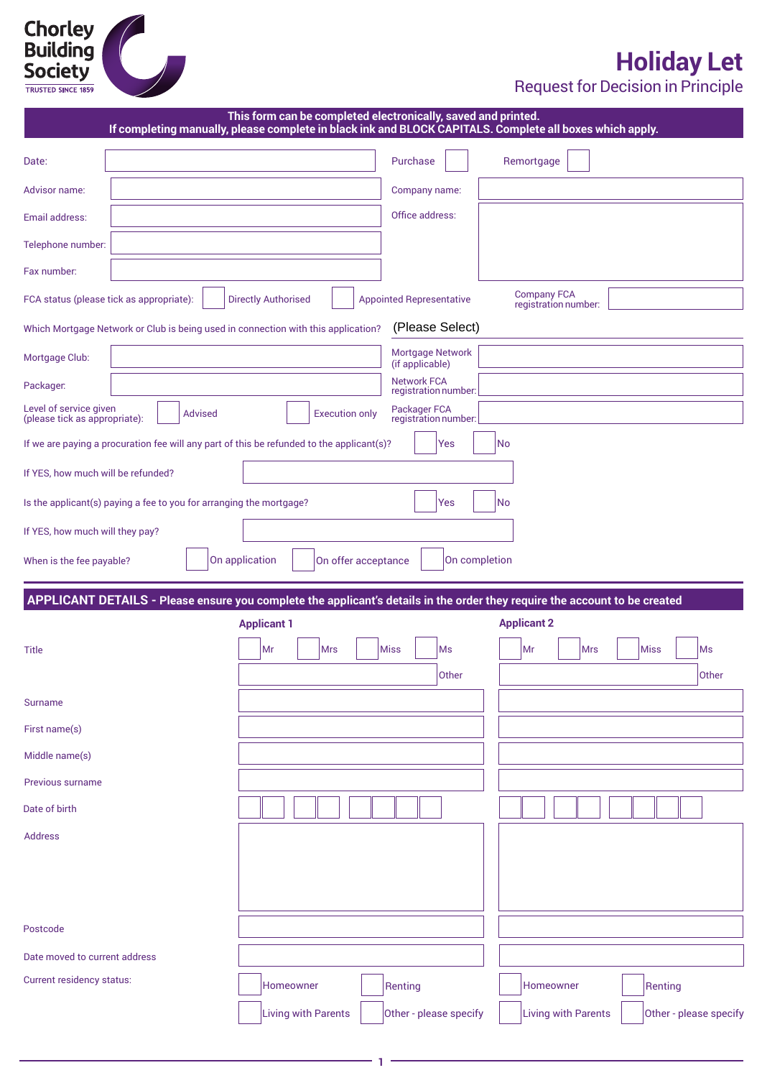# **Chorley<br>Building<br>Society**

# **Holiday Let**

Request for Decision in Principle

|                                                                                                                            | If completing manually, please complete in black ink and BLOCK CAPITALS. Complete all boxes which apply. |                                            | This form can be completed electronically, saved and printed. |            |
|----------------------------------------------------------------------------------------------------------------------------|----------------------------------------------------------------------------------------------------------|--------------------------------------------|---------------------------------------------------------------|------------|
| Date:                                                                                                                      |                                                                                                          | Purchase                                   | Remortgage                                                    |            |
| Advisor name:                                                                                                              |                                                                                                          | Company name:                              |                                                               |            |
| Email address:                                                                                                             |                                                                                                          | Office address:                            |                                                               |            |
| Telephone number:                                                                                                          |                                                                                                          |                                            |                                                               |            |
| Fax number:                                                                                                                |                                                                                                          |                                            |                                                               |            |
| FCA status (please tick as appropriate):                                                                                   | <b>Directly Authorised</b>                                                                               | <b>Appointed Representative</b>            | <b>Company FCA</b><br>registration number:                    |            |
| Which Mortgage Network or Club is being used in connection with this application?                                          |                                                                                                          | (Please Select)                            |                                                               |            |
| Mortgage Club:                                                                                                             |                                                                                                          | Mortgage Network<br>(if applicable)        |                                                               |            |
| Packager.                                                                                                                  |                                                                                                          | <b>Network FCA</b><br>registration number: |                                                               |            |
| Level of service given<br><b>Advised</b><br>(please tick as appropriate):                                                  | <b>Execution only</b>                                                                                    | Packager FCA<br>registration number:       |                                                               |            |
| If we are paying a procuration fee will any part of this be refunded to the applicant(s)?                                  |                                                                                                          | Yes                                        | No                                                            |            |
| If YES, how much will be refunded?                                                                                         |                                                                                                          |                                            |                                                               |            |
| Is the applicant(s) paying a fee to you for arranging the mortgage?                                                        |                                                                                                          | Yes                                        | <b>No</b>                                                     |            |
| If YES, how much will they pay?                                                                                            |                                                                                                          |                                            |                                                               |            |
| When is the fee payable?                                                                                                   | On application<br>On offer acceptance                                                                    | On completion                              |                                                               |            |
|                                                                                                                            |                                                                                                          |                                            |                                                               |            |
| APPLICANT DETAILS - Please ensure you complete the applicant's details in the order they require the account to be created | <b>Applicant 1</b>                                                                                       |                                            | <b>Applicant 2</b>                                            |            |
|                                                                                                                            |                                                                                                          |                                            |                                                               |            |
| <b>Title</b>                                                                                                               | Mr<br><b>Mrs</b>                                                                                         | <b>Miss</b><br>Ms                          | Mr<br><b>Mrs</b>                                              | Miss<br>Ms |
|                                                                                                                            |                                                                                                          | Other                                      |                                                               | Other      |
| Surname                                                                                                                    |                                                                                                          |                                            |                                                               |            |
| First name(s)                                                                                                              |                                                                                                          |                                            |                                                               |            |
| Middle name(s)                                                                                                             |                                                                                                          |                                            |                                                               |            |
| Previous surname                                                                                                           |                                                                                                          |                                            |                                                               |            |
| Date of birth                                                                                                              |                                                                                                          |                                            |                                                               |            |
| <b>Address</b>                                                                                                             |                                                                                                          |                                            |                                                               |            |
|                                                                                                                            |                                                                                                          |                                            |                                                               |            |
|                                                                                                                            |                                                                                                          |                                            |                                                               |            |
| Postcode                                                                                                                   |                                                                                                          |                                            |                                                               |            |
| Date moved to current address                                                                                              |                                                                                                          |                                            |                                                               |            |
| Current residency status:                                                                                                  | Homeowner                                                                                                | Renting                                    | Homeowner                                                     | Renting    |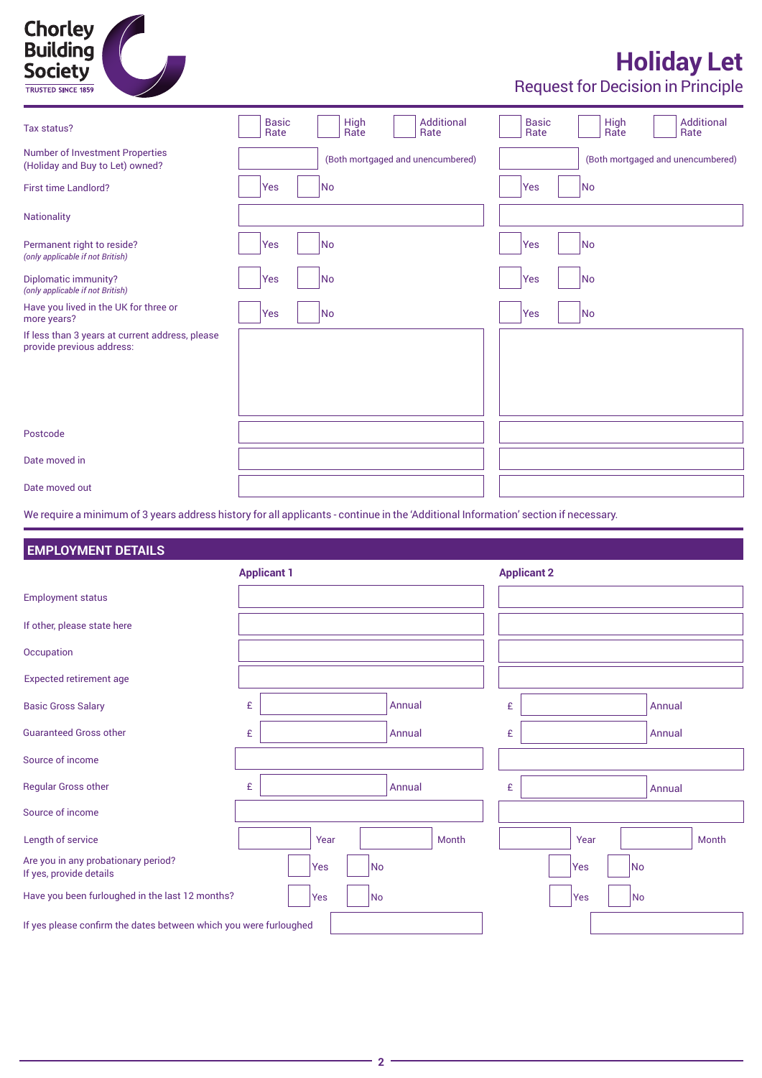

## **Holiday Let**

Request for Decision in Principle

| Tax status?                                                                                                                         | <b>Basic</b><br>Rate | Additional<br><b>High</b><br>Rate<br>Rate | <b>High</b><br>Additional<br><b>Basic</b><br>Rate<br>Rate<br>Rate |
|-------------------------------------------------------------------------------------------------------------------------------------|----------------------|-------------------------------------------|-------------------------------------------------------------------|
| <b>Number of Investment Properties</b><br>(Holiday and Buy to Let) owned?                                                           |                      | (Both mortgaged and unencumbered)         | (Both mortgaged and unencumbered)                                 |
| <b>First time Landlord?</b>                                                                                                         | Yes                  | No                                        | No<br><b>Yes</b>                                                  |
| <b>Nationality</b>                                                                                                                  |                      |                                           |                                                                   |
| Permanent right to reside?<br>(only applicable if not British)                                                                      | Yes                  | No                                        | Yes<br>No                                                         |
| Diplomatic immunity?<br>(only applicable if not British)                                                                            | Yes                  | No                                        | Yes<br>No                                                         |
| Have you lived in the UK for three or<br>more years?                                                                                | Yes                  | No                                        | <b>Yes</b><br>No                                                  |
| If less than 3 years at current address, please<br>provide previous address:                                                        |                      |                                           |                                                                   |
| Postcode                                                                                                                            |                      |                                           |                                                                   |
| Date moved in                                                                                                                       |                      |                                           |                                                                   |
| Date moved out                                                                                                                      |                      |                                           |                                                                   |
| We require a minimum of 3 years address history for all applicants - continue in the 'Additional Information' section if necessary. |                      |                                           |                                                                   |

### **EMPLOYMENT DETAILS**

|                                                                   | <b>Applicant 1</b> | <b>Applicant 2</b> |
|-------------------------------------------------------------------|--------------------|--------------------|
| <b>Employment status</b>                                          |                    |                    |
| If other, please state here                                       |                    |                    |
| Occupation                                                        |                    |                    |
| <b>Expected retirement age</b>                                    |                    |                    |
| <b>Basic Gross Salary</b>                                         | £<br>Annual        | £<br>Annual        |
| <b>Guaranteed Gross other</b>                                     | £<br>Annual        | £<br>Annual        |
| Source of income                                                  |                    |                    |
| <b>Regular Gross other</b>                                        | £<br>Annual        | £<br>Annual        |
| Source of income                                                  |                    |                    |
| Length of service                                                 | Year<br>Month      | Year<br>Month      |
| Are you in any probationary period?<br>If yes, provide details    | No<br>Yes          | No<br>Yes          |
| Have you been furloughed in the last 12 months?                   | No<br>Yes          | No<br><b>Yes</b>   |
| If yes please confirm the dates between which you were furloughed |                    |                    |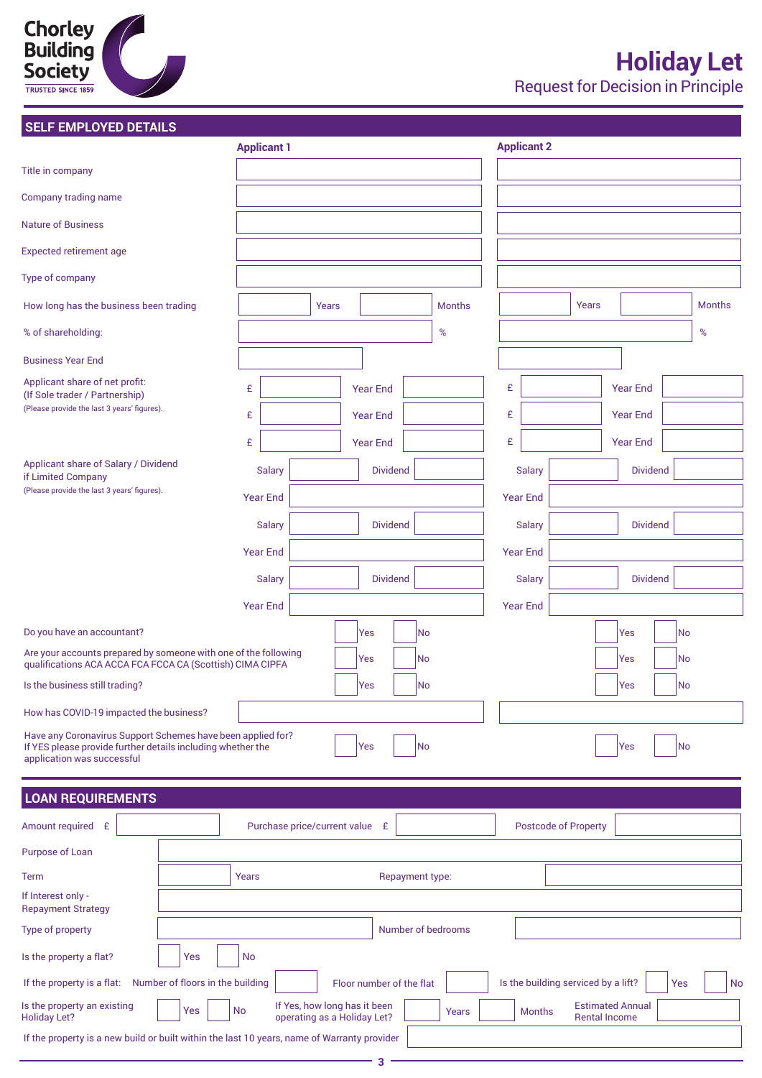# **Chorley<br>Building<br>Society**

### **SELF EMPLOYED DETAILS**

| SELF EMPLOYED DETAILS                                                                                                                                    |                                  |                                |       |                                                             |                 |                    |   |                                     |                      |                         |     |               |
|----------------------------------------------------------------------------------------------------------------------------------------------------------|----------------------------------|--------------------------------|-------|-------------------------------------------------------------|-----------------|--------------------|---|-------------------------------------|----------------------|-------------------------|-----|---------------|
|                                                                                                                                                          |                                  | <b>Applicant 1</b>             |       |                                                             |                 |                    |   | <b>Applicant 2</b>                  |                      |                         |     |               |
| Title in company                                                                                                                                         |                                  |                                |       |                                                             |                 |                    |   |                                     |                      |                         |     |               |
| Company trading name                                                                                                                                     |                                  |                                |       |                                                             |                 |                    |   |                                     |                      |                         |     |               |
| <b>Nature of Business</b>                                                                                                                                |                                  |                                |       |                                                             |                 |                    |   |                                     |                      |                         |     |               |
| <b>Expected retirement age</b>                                                                                                                           |                                  |                                |       |                                                             |                 |                    |   |                                     |                      |                         |     |               |
| Type of company                                                                                                                                          |                                  |                                |       |                                                             |                 |                    |   |                                     |                      |                         |     |               |
| How long has the business been trading                                                                                                                   |                                  |                                | Years |                                                             |                 | <b>Months</b>      |   |                                     | Years                |                         |     | <b>Months</b> |
| % of shareholding:                                                                                                                                       |                                  |                                |       |                                                             |                 | $\%$               |   |                                     |                      |                         |     | $\%$          |
| <b>Business Year End</b>                                                                                                                                 |                                  |                                |       |                                                             |                 |                    |   |                                     |                      |                         |     |               |
| Applicant share of net profit:<br>(If Sole trader / Partnership)                                                                                         |                                  | £                              |       | <b>Year End</b>                                             |                 |                    | £ |                                     |                      | <b>Year End</b>         |     |               |
| (Please provide the last 3 years' figures).                                                                                                              |                                  | £                              |       | <b>Year End</b>                                             |                 |                    | £ |                                     |                      | <b>Year End</b>         |     |               |
|                                                                                                                                                          |                                  | £                              |       | <b>Year End</b>                                             |                 |                    | £ |                                     |                      | <b>Year End</b>         |     |               |
| Applicant share of Salary / Dividend<br>if Limited Company                                                                                               |                                  | <b>Salary</b>                  |       | <b>Dividend</b>                                             |                 |                    |   | <b>Salary</b>                       |                      | <b>Dividend</b>         |     |               |
| (Please provide the last 3 years' figures).                                                                                                              |                                  | <b>Year End</b>                |       |                                                             |                 |                    |   | <b>Year End</b>                     |                      |                         |     |               |
|                                                                                                                                                          |                                  | <b>Salary</b>                  |       | <b>Dividend</b>                                             |                 |                    |   | <b>Salary</b>                       |                      | <b>Dividend</b>         |     |               |
|                                                                                                                                                          |                                  | <b>Year End</b>                |       |                                                             |                 |                    |   | <b>Year End</b>                     |                      |                         |     |               |
|                                                                                                                                                          |                                  | <b>Salary</b>                  |       | <b>Dividend</b>                                             |                 |                    |   | <b>Salary</b>                       |                      | <b>Dividend</b>         |     |               |
|                                                                                                                                                          |                                  | <b>Year End</b>                |       |                                                             |                 |                    |   | <b>Year End</b>                     |                      |                         |     |               |
| Do you have an accountant?                                                                                                                               |                                  |                                |       | Yes                                                         | No              |                    |   |                                     |                      | Yes                     | No  |               |
| Are your accounts prepared by someone with one of the following<br>qualifications ACA ACCA FCA FCCA CA (Scottish) CIMA CIPFA                             |                                  |                                |       | Yes                                                         | No              |                    |   |                                     |                      | Yes                     | No  |               |
| Is the business still trading?                                                                                                                           |                                  |                                |       | Yes                                                         | <b>No</b>       |                    |   |                                     |                      | Yes                     | No  |               |
| How has COVID-19 impacted the business?                                                                                                                  |                                  |                                |       |                                                             |                 |                    |   |                                     |                      |                         |     |               |
| Have any Coronavirus Support Schemes have been applied for?<br>If YES please provide further details including whether the<br>application was successful |                                  |                                |       | Yes                                                         | No              |                    |   |                                     |                      | Yes                     | No  |               |
| <b>LOAN REQUIREMENTS</b>                                                                                                                                 |                                  |                                |       |                                                             |                 |                    |   |                                     |                      |                         |     |               |
| Amount required £                                                                                                                                        |                                  | Purchase price/current value £ |       |                                                             |                 |                    |   | <b>Postcode of Property</b>         |                      |                         |     |               |
| Purpose of Loan                                                                                                                                          |                                  |                                |       |                                                             |                 |                    |   |                                     |                      |                         |     |               |
| <b>Term</b>                                                                                                                                              |                                  | Years                          |       |                                                             | Repayment type: |                    |   |                                     |                      |                         |     |               |
| If Interest only -<br><b>Repayment Strategy</b>                                                                                                          |                                  |                                |       |                                                             |                 |                    |   |                                     |                      |                         |     |               |
| Type of property                                                                                                                                         |                                  |                                |       |                                                             |                 | Number of bedrooms |   |                                     |                      |                         |     |               |
| Is the property a flat?                                                                                                                                  | Yes                              | No                             |       |                                                             |                 |                    |   |                                     |                      |                         |     |               |
| If the property is a flat:                                                                                                                               | Number of floors in the building |                                |       | Floor number of the flat                                    |                 |                    |   | Is the building serviced by a lift? |                      |                         | Yes |               |
| Is the property an existing<br><b>Holiday Let?</b>                                                                                                       | Yes                              | <b>No</b>                      |       | If Yes, how long has it been<br>operating as a Holiday Let? |                 | Years              |   | <b>Months</b>                       | <b>Rental Income</b> | <b>Estimated Annual</b> |     |               |
| If the property is a new build or built within the last 10 years, name of Warranty provider                                                              |                                  |                                |       |                                                             |                 |                    |   |                                     |                      |                         |     |               |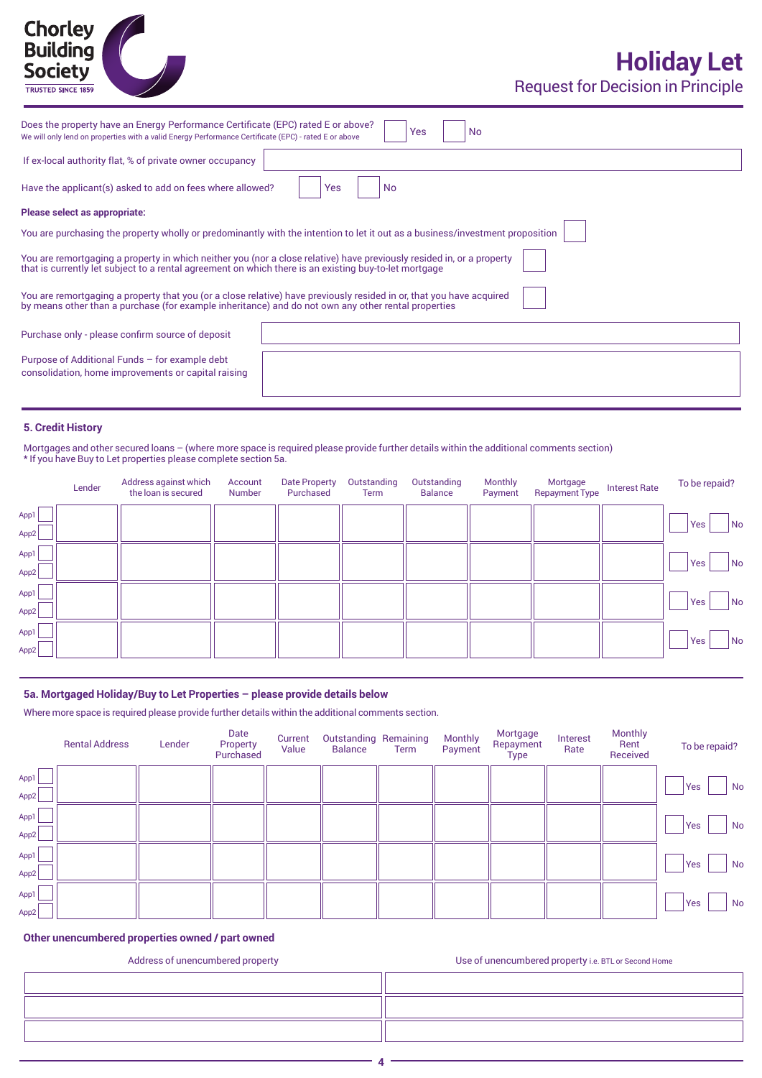## Chorley<br>Building **Society TRUSTED SINCE 1859**

Request for Decision in Principle

| Does the property have an Energy Performance Certificate (EPC) rated E or above?<br>Yes<br><b>No</b><br>We will only lend on properties with a valid Energy Performance Certificate (EPC) - rated E or above                   |
|--------------------------------------------------------------------------------------------------------------------------------------------------------------------------------------------------------------------------------|
| If ex-local authority flat, % of private owner occupancy                                                                                                                                                                       |
| Have the applicant(s) asked to add on fees where allowed?<br><b>No</b><br>Yes                                                                                                                                                  |
| Please select as appropriate:                                                                                                                                                                                                  |
| You are purchasing the property wholly or predominantly with the intention to let it out as a business/investment proposition                                                                                                  |
| You are remortgaging a property in which neither you (nor a close relative) have previously resided in, or a property<br>that is currently let subject to a rental agreement on which there is an existing buy-to-let mortgage |
| You are remortgaging a property that you (or a close relative) have previously resided in or, that you have acquired<br>by means other than a purchase (for example inheritance) and do not own any other rental properties    |
| Purchase only - please confirm source of deposit                                                                                                                                                                               |
| Purpose of Additional Funds - for example debt<br>consolidation, home improvements or capital raising                                                                                                                          |
|                                                                                                                                                                                                                                |

#### **5. Credit History**

Mortgages and other secured loans – (where more space is required please provide further details within the additional comments section) \* If you have Buy to Let properties please complete section 5a.

|      | Lender | Address against which<br>the loan is secured | Account<br>Number | Date Property<br>Purchased | Outstanding<br>Term | Outstanding<br><b>Balance</b> | Monthly<br>Payment | Mortgage<br><b>Repayment Type</b> | <b>Interest Rate</b> | To be repaid?    |
|------|--------|----------------------------------------------|-------------------|----------------------------|---------------------|-------------------------------|--------------------|-----------------------------------|----------------------|------------------|
| App1 |        |                                              |                   |                            |                     |                               |                    |                                   |                      | Yes<br>  No      |
| App2 |        |                                              |                   |                            |                     |                               |                    |                                   |                      |                  |
| App1 |        |                                              |                   |                            |                     |                               |                    |                                   |                      | <b>Yes</b><br>No |
| App2 |        |                                              |                   |                            |                     |                               |                    |                                   |                      |                  |
| App1 |        |                                              |                   |                            |                     |                               |                    |                                   |                      | Yes<br>No        |
| App2 |        |                                              |                   |                            |                     |                               |                    |                                   |                      |                  |
| App1 |        |                                              |                   |                            |                     |                               |                    |                                   |                      | Yes<br>No        |
| App2 |        |                                              |                   |                            |                     |                               |                    |                                   |                      |                  |

#### **5a. Mortgaged Holiday/Buy to Let Properties – please provide details below**

Where more space is required please provide further details within the additional comments section.

|              | <b>Rental Address</b> | Lender | Date<br>Property<br>Purchased | Current<br>Value | <b>Outstanding Remaining</b><br><b>Balance</b> | Term | Monthly<br>Payment | Mortgage<br>Repayment<br><b>Type</b> | Interest<br>Rate | Monthly<br>Rent<br>Received | To be repaid?    |
|--------------|-----------------------|--------|-------------------------------|------------------|------------------------------------------------|------|--------------------|--------------------------------------|------------------|-----------------------------|------------------|
| App1<br>App2 |                       |        |                               |                  |                                                |      |                    |                                      |                  |                             | Yes<br>No        |
| App1<br>App2 |                       |        |                               |                  |                                                |      |                    |                                      |                  |                             | Yes<br><b>No</b> |
| App1<br>App2 |                       |        |                               |                  |                                                |      |                    |                                      |                  |                             | Yes<br>No        |
| App1<br>App2 |                       |        |                               |                  |                                                |      |                    |                                      |                  |                             | Yes<br>No        |

#### **Other unencumbered properties owned / part owned**

Address of unencumbered property and the unit of the USe of unencumbered property i.e. BTL or Second Home

**4**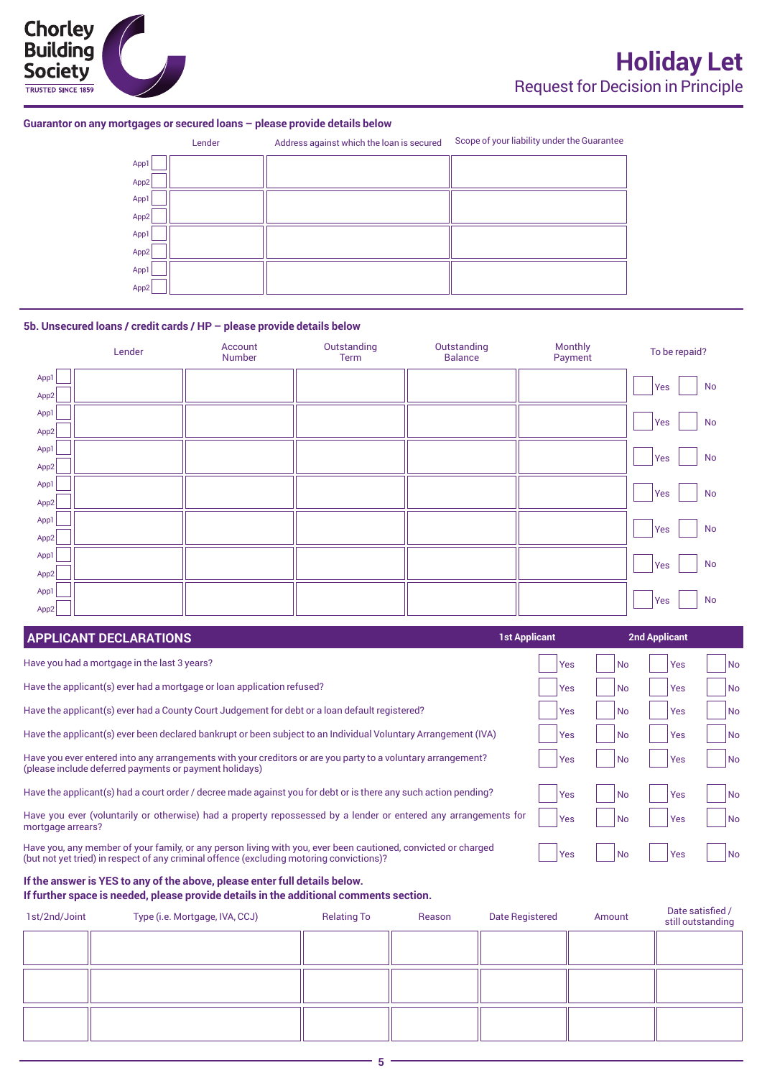#### **Guarantor on any mortgages or secured loans – please provide details below**

|      | Lender | Address against which the loan is secured | Scope of your liability under the Guarantee |
|------|--------|-------------------------------------------|---------------------------------------------|
| App1 |        |                                           |                                             |
| App2 |        |                                           |                                             |
| App1 |        |                                           |                                             |
| App2 |        |                                           |                                             |
| App1 |        |                                           |                                             |
| App2 |        |                                           |                                             |
| App1 |        |                                           |                                             |
| App2 |        |                                           |                                             |

#### **5b. Unsecured loans / credit cards / HP – please provide details below**

|      | Lender | Account<br>Number | Outstanding<br>Term | Outstanding<br><b>Balance</b> | Monthly<br>Payment | To be repaid?    |
|------|--------|-------------------|---------------------|-------------------------------|--------------------|------------------|
| App1 |        |                   |                     |                               |                    | No<br>Yes        |
| App2 |        |                   |                     |                               |                    |                  |
| App1 |        |                   |                     |                               |                    | No<br>Yes        |
| App2 |        |                   |                     |                               |                    |                  |
| App1 |        |                   |                     |                               |                    | <b>No</b><br>Yes |
| App2 |        |                   |                     |                               |                    |                  |
| App1 |        |                   |                     |                               |                    | No<br>Yes        |
| App2 |        |                   |                     |                               |                    |                  |
| App1 |        |                   |                     |                               |                    | <b>No</b><br>Yes |
| App2 |        |                   |                     |                               |                    |                  |
| App1 |        |                   |                     |                               |                    | No<br>Yes        |
| App2 |        |                   |                     |                               |                    |                  |
| App1 |        |                   |                     |                               |                    | No               |
| App2 |        |                   |                     |                               |                    | Yes              |

| <b>APPLICANT DECLARATIONS</b>                                                                                                                                                                             | <b>1st Applicant</b> | <b>2nd Applicant</b>    |                          |
|-----------------------------------------------------------------------------------------------------------------------------------------------------------------------------------------------------------|----------------------|-------------------------|--------------------------|
| Have you had a mortgage in the last 3 years?                                                                                                                                                              | Yes                  | <b>No</b><br>Yes        | <b>No</b>                |
| Have the applicant(s) ever had a mortgage or loan application refused?                                                                                                                                    | <b>Yes</b>           | <b>Yes</b><br><b>No</b> | N <sub>o</sub>           |
| Have the applicant(s) ever had a County Court Judgement for debt or a loan default registered?                                                                                                            | <b>Yes</b>           | Yes<br><b>No</b>        | No                       |
| Have the applicant(s) ever been declared bankrupt or been subject to an Individual Voluntary Arrangement (IVA)                                                                                            | <b>Yes</b>           | <b>No</b><br>Yes        | No                       |
| Have you ever entered into any arrangements with your creditors or are you party to a voluntary arrangement?<br>(please include deferred payments or payment holidays)                                    | <b>Yes</b>           | Yes<br><b>No</b>        | $\overline{\mathsf{No}}$ |
| Have the applicant(s) had a court order / decree made against you for debt or is there any such action pending?                                                                                           | <b>Yes</b>           | Yes<br><b>No</b>        | No                       |
| Have you ever (voluntarily or otherwise) had a property repossessed by a lender or entered any arrangements for<br>mortgage arrears?                                                                      | <b>Yes</b>           | <b>Yes</b><br><b>No</b> | No                       |
| Have you, any member of your family, or any person living with you, ever been cautioned, convicted or charged<br>(but not yet tried) in respect of any criminal offence (excluding motoring convictions)? | Yes                  | Yes<br><b>No</b>        | N <sub>o</sub>           |

## **If the answer is YES to any of the above, please enter full details below.**

**If further space is needed, please provide details in the additional comments section.**

| 1st/2nd/Joint | Type (i.e. Mortgage, IVA, CCJ) | <b>Relating To</b> | Reason | Date Registered | Amount | Date satisfied /<br>still outstanding |
|---------------|--------------------------------|--------------------|--------|-----------------|--------|---------------------------------------|
|               |                                |                    |        |                 |        |                                       |
|               |                                |                    |        |                 |        |                                       |
|               |                                |                    |        |                 |        |                                       |
|               |                                |                    |        |                 |        |                                       |
|               |                                |                    |        |                 |        |                                       |
|               |                                |                    |        |                 |        |                                       |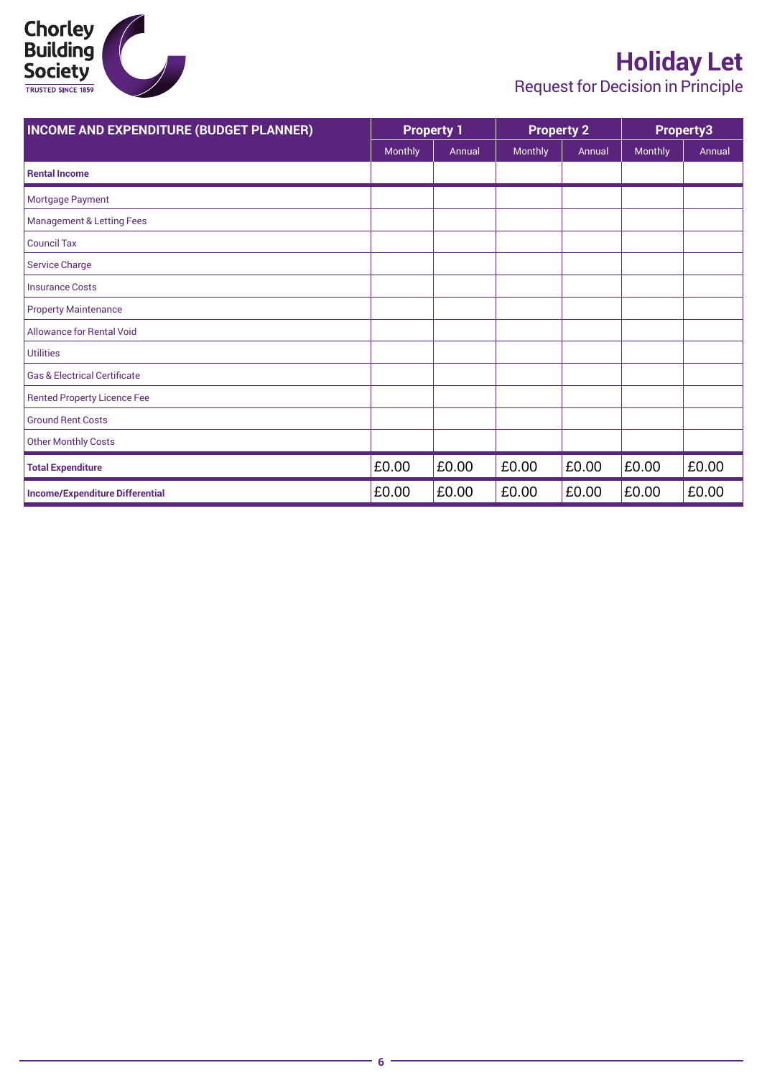

## **Holiday Let**

Request for Decision in Principle

| <b>INCOME AND EXPENDITURE (BUDGET PLANNER)</b> |         | <b>Property 1</b> | <b>Property 2</b> |        |         | Property3 |
|------------------------------------------------|---------|-------------------|-------------------|--------|---------|-----------|
|                                                | Monthly | Annual            | Monthly           | Annual | Monthly | Annual    |
| <b>Rental Income</b>                           |         |                   |                   |        |         |           |
| Mortgage Payment                               |         |                   |                   |        |         |           |
| <b>Management &amp; Letting Fees</b>           |         |                   |                   |        |         |           |
| <b>Council Tax</b>                             |         |                   |                   |        |         |           |
| <b>Service Charge</b>                          |         |                   |                   |        |         |           |
| <b>Insurance Costs</b>                         |         |                   |                   |        |         |           |
| <b>Property Maintenance</b>                    |         |                   |                   |        |         |           |
| <b>Allowance for Rental Void</b>               |         |                   |                   |        |         |           |
| <b>Utilities</b>                               |         |                   |                   |        |         |           |
| <b>Gas &amp; Electrical Certificate</b>        |         |                   |                   |        |         |           |
| <b>Rented Property Licence Fee</b>             |         |                   |                   |        |         |           |
| <b>Ground Rent Costs</b>                       |         |                   |                   |        |         |           |
| <b>Other Monthly Costs</b>                     |         |                   |                   |        |         |           |
| <b>Total Expenditure</b>                       | £0.00   | £0.00             | £0.00             | £0.00  | £0.00   | £0.00     |
| <b>Income/Expenditure Differential</b>         | £0.00   | £0.00             | £0.00             | £0.00  | £0.00   | £0.00     |